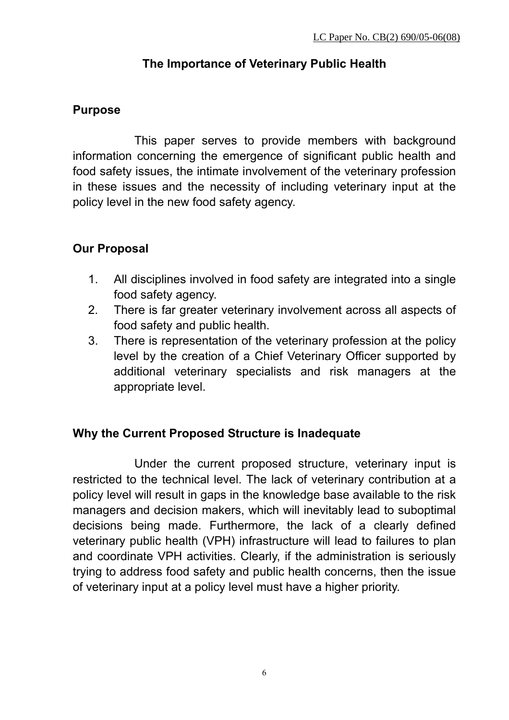# **The Importance of Veterinary Public Health**

# **Purpose**

This paper serves to provide members with background information concerning the emergence of significant public health and food safety issues, the intimate involvement of the veterinary profession in these issues and the necessity of including veterinary input at the policy level in the new food safety agency.

# **Our Proposal**

- 1. All disciplines involved in food safety are integrated into a single food safety agency.
- 2. There is far greater veterinary involvement across all aspects of food safety and public health.
- 3. There is representation of the veterinary profession at the policy level by the creation of a Chief Veterinary Officer supported by additional veterinary specialists and risk managers at the appropriate level.

# **Why the Current Proposed Structure is Inadequate**

Under the current proposed structure, veterinary input is restricted to the technical level. The lack of veterinary contribution at a policy level will result in gaps in the knowledge base available to the risk managers and decision makers, which will inevitably lead to suboptimal decisions being made. Furthermore, the lack of a clearly defined veterinary public health (VPH) infrastructure will lead to failures to plan and coordinate VPH activities. Clearly, if the administration is seriously trying to address food safety and public health concerns, then the issue of veterinary input at a policy level must have a higher priority.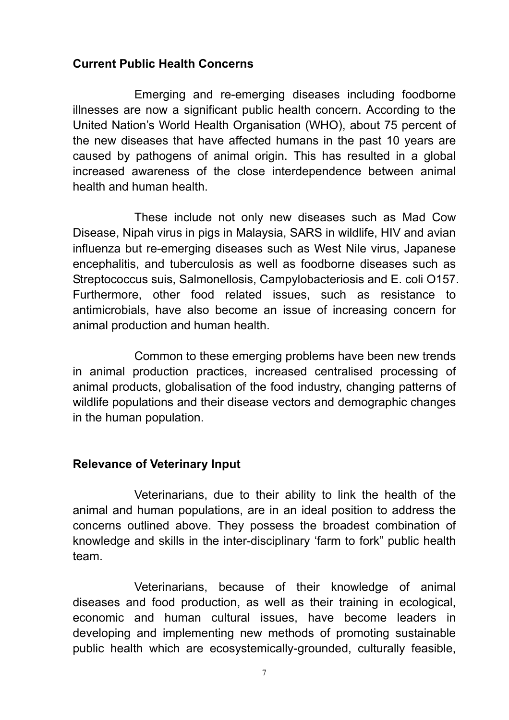### **Current Public Health Concerns**

Emerging and re-emerging diseases including foodborne illnesses are now a significant public health concern. According to the United Nation's World Health Organisation (WHO), about 75 percent of the new diseases that have affected humans in the past 10 years are caused by pathogens of animal origin. This has resulted in a global increased awareness of the close interdependence between animal health and human health.

These include not only new diseases such as Mad Cow Disease, Nipah virus in pigs in Malaysia, SARS in wildlife, HIV and avian influenza but re-emerging diseases such as West Nile virus, Japanese encephalitis, and tuberculosis as well as foodborne diseases such as Streptococcus suis, Salmonellosis, Campylobacteriosis and E. coli O157. Furthermore, other food related issues, such as resistance to antimicrobials, have also become an issue of increasing concern for animal production and human health.

Common to these emerging problems have been new trends in animal production practices, increased centralised processing of animal products, globalisation of the food industry, changing patterns of wildlife populations and their disease vectors and demographic changes in the human population.

#### **Relevance of Veterinary Input**

Veterinarians, due to their ability to link the health of the animal and human populations, are in an ideal position to address the concerns outlined above. They possess the broadest combination of knowledge and skills in the inter-disciplinary 'farm to fork" public health team.

Veterinarians, because of their knowledge of animal diseases and food production, as well as their training in ecological, economic and human cultural issues, have become leaders in developing and implementing new methods of promoting sustainable public health which are ecosystemically-grounded, culturally feasible,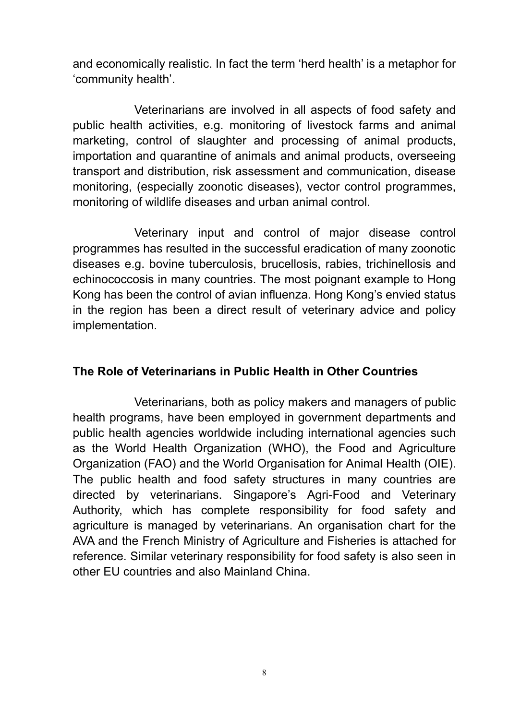and economically realistic. In fact the term 'herd health' is a metaphor for 'community health'.

Veterinarians are involved in all aspects of food safety and public health activities, e.g. monitoring of livestock farms and animal marketing, control of slaughter and processing of animal products, importation and quarantine of animals and animal products, overseeing transport and distribution, risk assessment and communication, disease monitoring, (especially zoonotic diseases), vector control programmes, monitoring of wildlife diseases and urban animal control.

Veterinary input and control of major disease control programmes has resulted in the successful eradication of many zoonotic diseases e.g. bovine tuberculosis, brucellosis, rabies, trichinellosis and echinococcosis in many countries. The most poignant example to Hong Kong has been the control of avian influenza. Hong Kong's envied status in the region has been a direct result of veterinary advice and policy implementation.

# **The Role of Veterinarians in Public Health in Other Countries**

Veterinarians, both as policy makers and managers of public health programs, have been employed in government departments and public health agencies worldwide including international agencies such as the World Health Organization (WHO), the Food and Agriculture Organization (FAO) and the World Organisation for Animal Health (OIE). The public health and food safety structures in many countries are directed by veterinarians. Singapore's Agri-Food and Veterinary Authority, which has complete responsibility for food safety and agriculture is managed by veterinarians. An organisation chart for the AVA and the French Ministry of Agriculture and Fisheries is attached for reference. Similar veterinary responsibility for food safety is also seen in other EU countries and also Mainland China.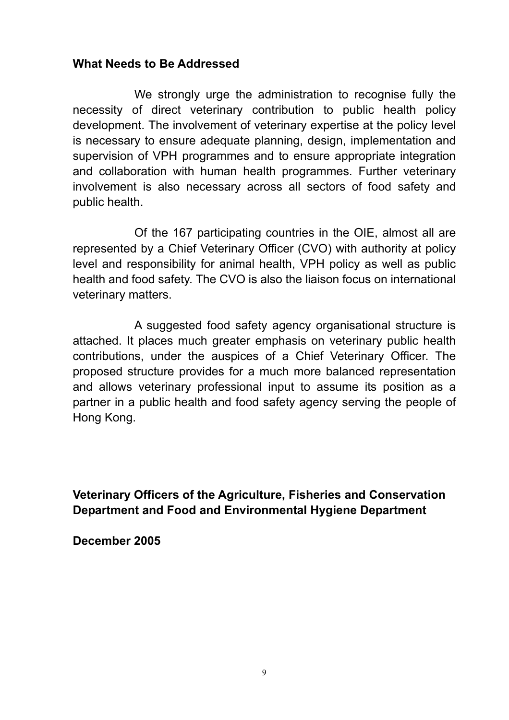### **What Needs to Be Addressed**

We strongly urge the administration to recognise fully the necessity of direct veterinary contribution to public health policy development. The involvement of veterinary expertise at the policy level is necessary to ensure adequate planning, design, implementation and supervision of VPH programmes and to ensure appropriate integration and collaboration with human health programmes. Further veterinary involvement is also necessary across all sectors of food safety and public health.

Of the 167 participating countries in the OIE, almost all are represented by a Chief Veterinary Officer (CVO) with authority at policy level and responsibility for animal health, VPH policy as well as public health and food safety. The CVO is also the liaison focus on international veterinary matters.

A suggested food safety agency organisational structure is attached. It places much greater emphasis on veterinary public health contributions, under the auspices of a Chief Veterinary Officer. The proposed structure provides for a much more balanced representation and allows veterinary professional input to assume its position as a partner in a public health and food safety agency serving the people of Hong Kong.

**Veterinary Officers of the Agriculture, Fisheries and Conservation Department and Food and Environmental Hygiene Department** 

**December 2005**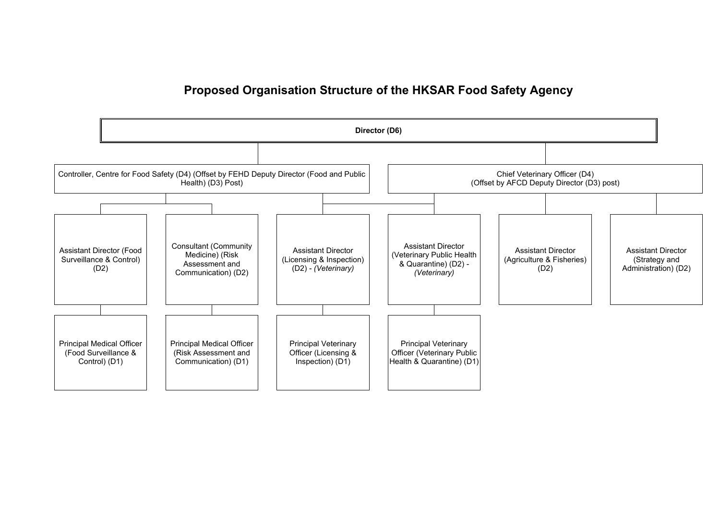### **Proposed Organisation Structure of the HKSAR Food Safety Agency**

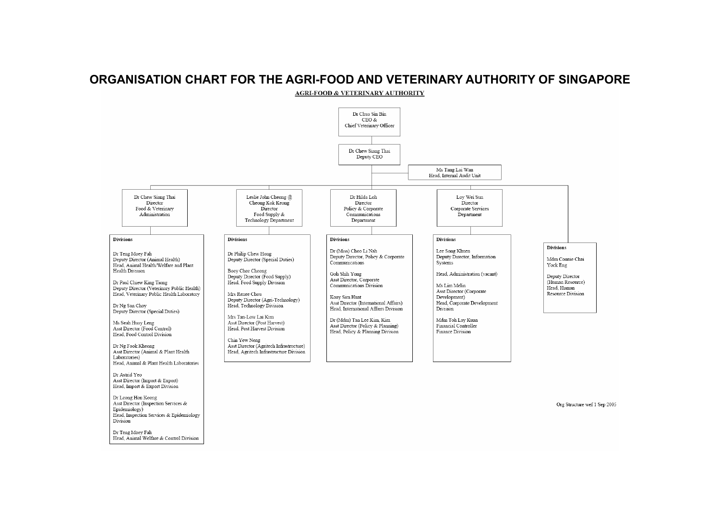#### **ORGANISATION CHART FOR THE AGRI-FOOD AND VETERINARY AUTHORITY OF SINGAPORE**



Org Structure wef 1 Sep 2005

Dr Teng Moey Fah Head. Animal Welfare & Control Division

Head, Inspection Services & Epidemiology

Head, Import & Export Division Dr Leong Hon Keong Asst Director (Inspection Services &

Epidemiology)

Division